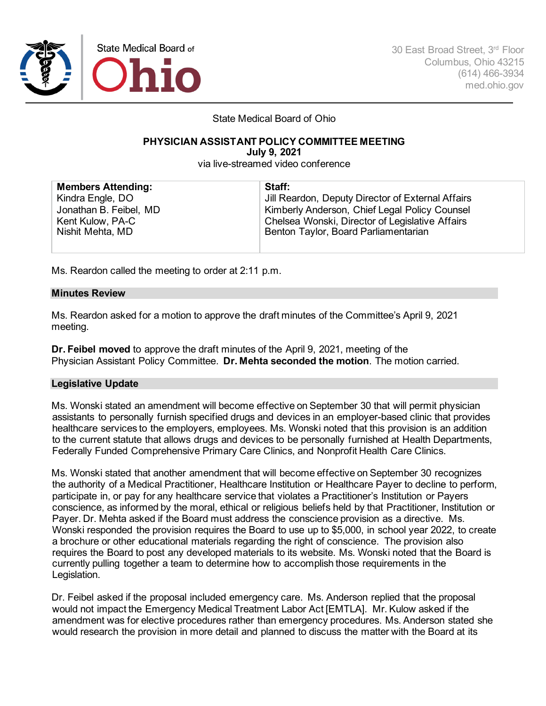

30 East Broad Street, 3rd Floor Columbus, Ohio 43215 (614) 466-3934 med.ohio.gov

State Medical Board of Ohio

# **PHYSICIAN ASSISTANT POLICY COMMITTEE MEETING**

**July 9, 2021**

via live-streamed video conference

| <b>Members Attending:</b> | Staff:                                            |
|---------------------------|---------------------------------------------------|
| Kindra Engle, DO          | Jill Reardon, Deputy Director of External Affairs |
| Jonathan B. Feibel, MD    | Kimberly Anderson, Chief Legal Policy Counsel     |
| Kent Kulow, PA-C          | Chelsea Wonski, Director of Legislative Affairs   |
| Nishit Mehta, MD          | Benton Taylor, Board Parliamentarian              |
|                           |                                                   |

Ms. Reardon called the meeting to order at 2:11 p.m.

## **Minutes Review**

Ms. Reardon asked for a motion to approve the draft minutes of the Committee's April 9, 2021 meeting.

**Dr. Feibel moved** to approve the draft minutes of the April 9, 2021, meeting of the Physician Assistant Policy Committee. **Dr. Mehta seconded the motion**. The motion carried.

## **Legislative Update**

Ms. Wonski stated an amendment will become effective on September 30 that will permit physician assistants to personally furnish specified drugs and devices in an employer-based clinic that provides healthcare services to the employers, employees. Ms. Wonski noted that this provision is an addition to the current statute that allows drugs and devices to be personally furnished at Health Departments, Federally Funded Comprehensive Primary Care Clinics, and Nonprofit Health Care Clinics.

Ms. Wonski stated that another amendment that will become effective on September 30 recognizes the authority of a Medical Practitioner, Healthcare Institution or Healthcare Payer to decline to perform, participate in, or pay for any healthcare service that violates a Practitioner's Institution or Payers conscience, as informed by the moral, ethical or religious beliefs held by that Practitioner, Institution or Payer. Dr. Mehta asked if the Board must address the conscience provision as a directive. Ms. Wonski responded the provision requires the Board to use up to \$5,000, in school year 2022, to create a brochure or other educational materials regarding the right of conscience. The provision also requires the Board to post any developed materials to its website. Ms. Wonski noted that the Board is currently pulling together a team to determine how to accomplish those requirements in the Legislation.

Dr. Feibel asked if the proposal included emergency care. Ms. Anderson replied that the proposal would not impact the Emergency Medical Treatment Labor Act [EMTLA]. Mr. Kulow asked if the amendment was for elective procedures rather than emergency procedures. Ms. Anderson stated she would research the provision in more detail and planned to discuss the matter with the Board at its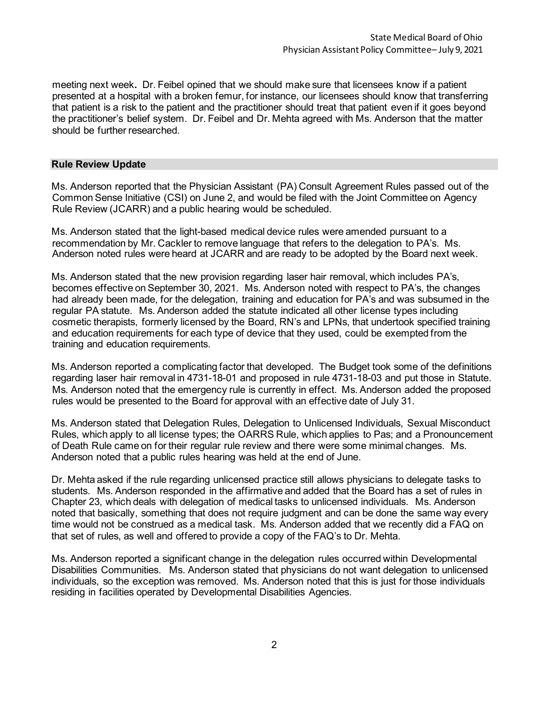meeting next week**.** Dr. Feibel opined that we should make sure that licensees know if a patient presented at a hospital with a broken femur, for instance, our licensees should know that transferring that patient is a risk to the patient and the practitioner should treat that patient even if it goes beyond the practitioner's belief system. Dr. Feibel and Dr. Mehta agreed with Ms. Anderson that the matter should be further researched.

#### **Rule Review Update**

Ms. Anderson reported that the Physician Assistant (PA) Consult Agreement Rules passed out of the Common Sense Initiative (CSI) on June 2, and would be filed with the Joint Committee on Agency Rule Review (JCARR) and a public hearing would be scheduled.

Ms. Anderson stated that the light-based medical device rules were amended pursuant to a recommendation by Mr. Cackler to remove language that refers to the delegation to PA's. Ms. Anderson noted rules were heard at JCARR and are ready to be adopted by the Board next week.

Ms. Anderson stated that the new provision regarding laser hair removal, which includes PA's, becomes effective on September 30, 2021. Ms. Anderson noted with respect to PA's, the changes had already been made, for the delegation, training and education for PA's and was subsumed in the regular PA statute. Ms. Anderson added the statute indicated all other license types including cosmetic therapists, formerly licensed by the Board, RN's and LPNs, that undertook specified training and education requirements for each type of device that they used, could be exempted from the training and education requirements.

Ms. Anderson reported a complicating factor that developed. The Budget took some of the definitions regarding laser hair removal in 4731-18-01 and proposed in rule 4731-18-03 and put those in Statute. Ms. Anderson noted that the emergency rule is currently in effect. Ms. Anderson added the proposed rules would be presented to the Board for approval with an effective date of July 31.

Ms. Anderson stated that Delegation Rules, Delegation to Unlicensed Individuals, Sexual Misconduct Rules, which apply to all license types; the OARRS Rule, which applies to Pas; and a Pronouncement of Death Rule came on for their regular rule review and there were some minimal changes. Ms. Anderson noted that a public rules hearing was held at the end of June.

Dr. Mehta asked if the rule regarding unlicensed practice still allows physicians to delegate tasks to students. Ms. Anderson responded in the affirmative and added that the Board has a set of rules in Chapter 23, which deals with delegation of medical tasks to unlicensed individuals. Ms. Anderson noted that basically, something that does not require judgment and can be done the same way every time would not be construed as a medical task. Ms. Anderson added that we recently did a FAQ on that set of rules, as well and offered to provide a copy of the FAQ's to Dr. Mehta.

Ms. Anderson reported a significant change in the delegation rules occurred within Developmental Disabilities Communities. Ms. Anderson stated that physicians do not want delegation to unlicensed individuals, so the exception was removed. Ms. Anderson noted that this is just for those individuals residing in facilities operated by Developmental Disabilities Agencies.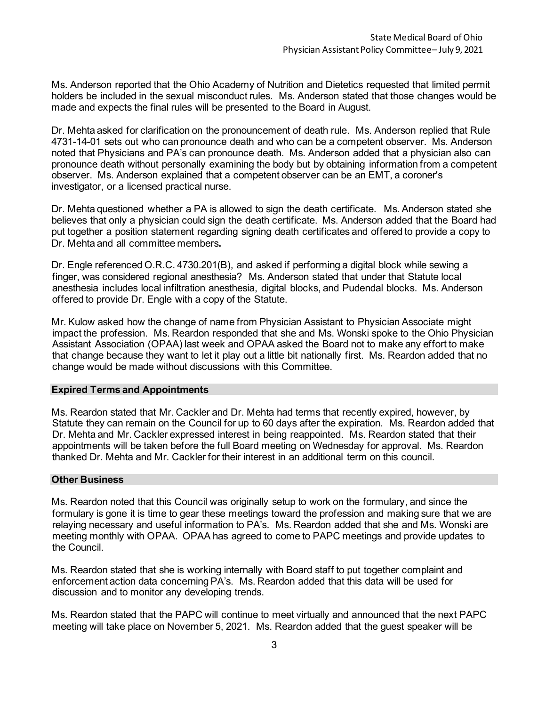Ms. Anderson reported that the Ohio Academy of Nutrition and Dietetics requested that limited permit holders be included in the sexual misconduct rules. Ms. Anderson stated that those changes would be made and expects the final rules will be presented to the Board in August.

Dr. Mehta asked for clarification on the pronouncement of death rule. Ms. Anderson replied that Rule 4731-14-01 sets out who can pronounce death and who can be a competent observer. Ms. Anderson noted that Physicians and PA's can pronounce death. Ms. Anderson added that a physician also can pronounce death without personally examining the body but by obtaining information from a competent observer. Ms. Anderson explained that a competent observer can be an EMT, a coroner's investigator, or a licensed practical nurse.

Dr. Mehta questioned whether a PA is allowed to sign the death certificate. Ms. Anderson stated she believes that only a physician could sign the death certificate. Ms. Anderson added that the Board had put together a position statement regarding signing death certificates and offered to provide a copy to Dr. Mehta and all committee members**.** 

Dr. Engle referenced O.R.C. 4730.201(B), and asked if performing a digital block while sewing a finger, was considered regional anesthesia? Ms. Anderson stated that under that Statute local anesthesia includes local infiltration anesthesia, digital blocks, and Pudendal blocks. Ms. Anderson offered to provide Dr. Engle with a copy of the Statute.

Mr. Kulow asked how the change of name from Physician Assistant to Physician Associate might impact the profession.Ms. Reardon responded that she and Ms. Wonski spoke to the Ohio Physician Assistant Association (OPAA) last week and OPAA asked the Board not to make any effort to make that change because they want to let it play out a little bit nationally first. Ms. Reardon added that no change would be made without discussions with this Committee.

#### **Expired Terms and Appointments**

Ms. Reardon stated that Mr. Cackler and Dr. Mehta had terms that recently expired, however, by Statute they can remain on the Council for up to 60 days after the expiration. Ms. Reardon added that Dr. Mehta and Mr. Cackler expressed interest in being reappointed. Ms. Reardon stated that their appointments will be taken before the full Board meeting on Wednesday for approval. Ms. Reardon thanked Dr. Mehta and Mr. Cackler for their interest in an additional term on this council.

#### **Other Business**

Ms. Reardon noted that this Council was originally setup to work on the formulary, and since the formulary is gone it is time to gear these meetings toward the profession and making sure that we are relaying necessary and useful information to PA's. Ms. Reardon added that she and Ms. Wonski are meeting monthly with OPAA. OPAA has agreed to come to PAPC meetings and provide updates to the Council.

Ms. Reardon stated that she is working internally with Board staff to put together complaint and enforcement action data concerning PA's. Ms. Reardon added that this data will be used for discussion and to monitor any developing trends.

Ms. Reardon stated that the PAPC will continue to meet virtually and announced that the next PAPC meeting will take place on November 5, 2021. Ms. Reardon added that the guest speaker will be